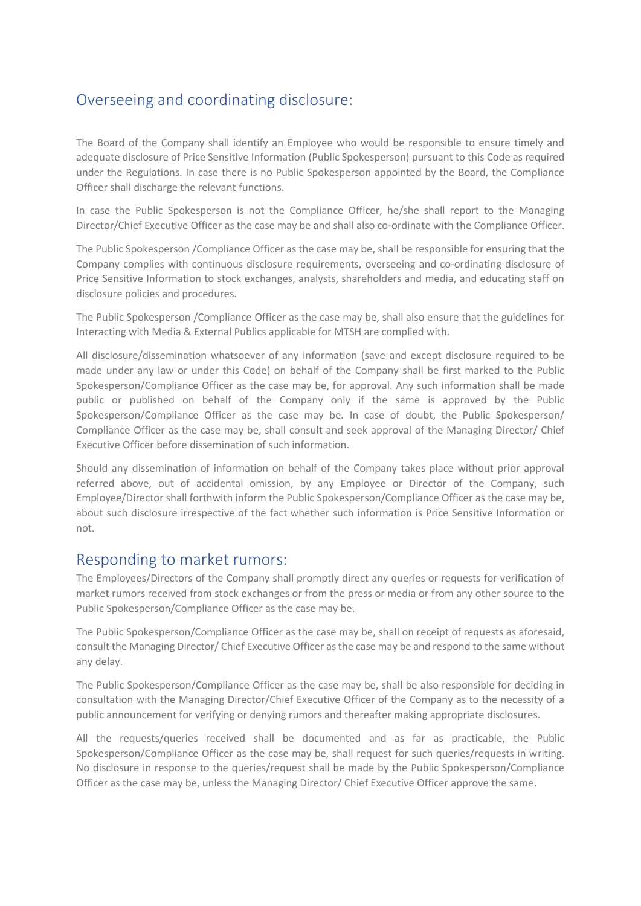# Overseeing and coordinating disclosure:

The Board of the Company shall identify an Employee who would be responsible to ensure timely and adequate disclosure of Price Sensitive Information (Public Spokesperson) pursuant to this Code as required under the Regulations. In case there is no Public Spokesperson appointed by the Board, the Compliance Officer shall discharge the relevant functions.

In case the Public Spokesperson is not the Compliance Officer, he/she shall report to the Managing Director/Chief Executive Officer as the case may be and shall also co-ordinate with the Compliance Officer.

The Public Spokesperson /Compliance Officer as the case may be, shall be responsible for ensuring that the Company complies with continuous disclosure requirements, overseeing and co-ordinating disclosure of Price Sensitive Information to stock exchanges, analysts, shareholders and media, and educating staff on disclosure policies and procedures.

The Public Spokesperson /Compliance Officer as the case may be, shall also ensure that the guidelines for Interacting with Media & External Publics applicable for MTSH are complied with.

All disclosure/dissemination whatsoever of any information (save and except disclosure required to be made under any law or under this Code) on behalf of the Company shall be first marked to the Public Spokesperson/Compliance Officer as the case may be, for approval. Any such information shall be made public or published on behalf of the Company only if the same is approved by the Public Spokesperson/Compliance Officer as the case may be. In case of doubt, the Public Spokesperson/ Compliance Officer as the case may be, shall consult and seek approval of the Managing Director/ Chief Executive Officer before dissemination of such information.

Should any dissemination of information on behalf of the Company takes place without prior approval referred above, out of accidental omission, by any Employee or Director of the Company, such Employee/Director shall forthwith inform the Public Spokesperson/Compliance Officer as the case may be, about such disclosure irrespective of the fact whether such information is Price Sensitive Information or not.

#### Responding to market rumors:

The Employees/Directors of the Company shall promptly direct any queries or requests for verification of market rumors received from stock exchanges or from the press or media or from any other source to the Public Spokesperson/Compliance Officer as the case may be.

The Public Spokesperson/Compliance Officer as the case may be, shall on receipt of requests as aforesaid, consult the Managing Director/ Chief Executive Officer as the case may be and respond to the same without any delay.

The Public Spokesperson/Compliance Officer as the case may be, shall be also responsible for deciding in consultation with the Managing Director/Chief Executive Officer of the Company as to the necessity of a public announcement for verifying or denying rumors and thereafter making appropriate disclosures.

All the requests/queries received shall be documented and as far as practicable, the Public Spokesperson/Compliance Officer as the case may be, shall request for such queries/requests in writing. No disclosure in response to the queries/request shall be made by the Public Spokesperson/Compliance Officer as the case may be, unless the Managing Director/ Chief Executive Officer approve the same.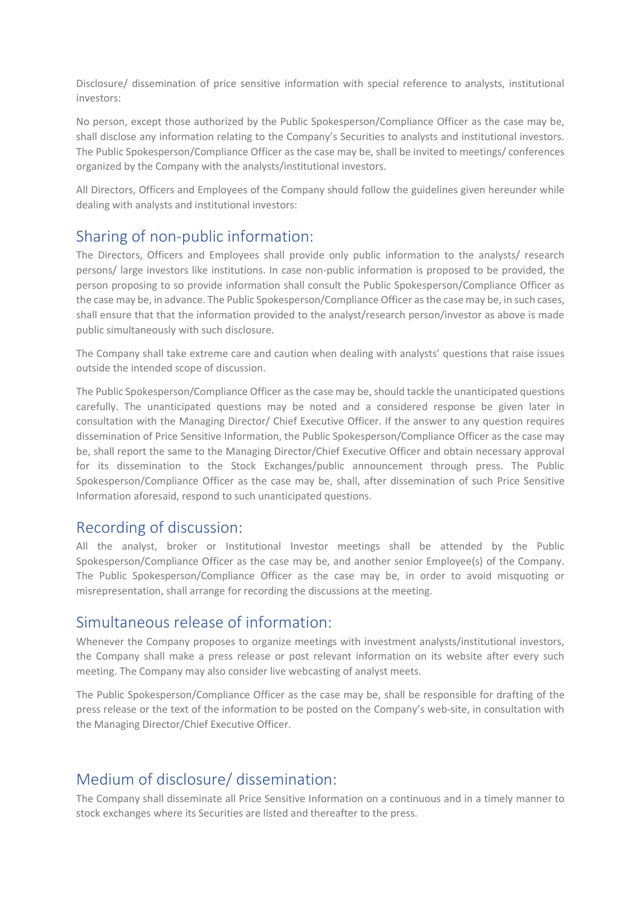Disclosure/ dissemination of price sensitive information with special reference to analysts, institutional investors:

No person, except those authorized by the Public Spokesperson/Compliance Officer as the case may be, shall disclose any information relating to the Company's Securities to analysts and institutional investors. The Public Spokesperson/Compliance Officer as the case may be, shall be invited to meetings/ conferences organized by the Company with the analysts/institutional investors.

All Directors, Officers and Employees of the Company should follow the guidelines given hereunder while dealing with analysts and institutional investors:

## Sharing of non-public information:

The Directors, Officers and Employees shall provide only public information to the analysts/ research persons/ large investors like institutions. In case non-public information is proposed to be provided, the person proposing to so provide information shall consult the Public Spokesperson/Compliance Officer as the case may be, in advance. The Public Spokesperson/Compliance Officer as the case may be, in such cases, shall ensure that that the information provided to the analyst/research person/investor as above is made public simultaneously with such disclosure.

The Company shall take extreme care and caution when dealing with analysts' questions that raise issues outside the intended scope of discussion.

The Public Spokesperson/Compliance Officer as the case may be, should tackle the unanticipated questions carefully. The unanticipated questions may be noted and a considered response be given later in consultation with the Managing Director/ Chief Executive Officer. If the answer to any question requires dissemination of Price Sensitive Information, the Public Spokesperson/Compliance Officer as the case may be, shall report the same to the Managing Director/Chief Executive Officer and obtain necessary approval for its dissemination to the Stock Exchanges/public announcement through press. The Public Spokesperson/Compliance Officer as the case may be, shall, after dissemination of such Price Sensitive Information aforesaid, respond to such unanticipated questions.

### Recording of discussion:

All the analyst, broker or Institutional Investor meetings shall be attended by the Public Spokesperson/Compliance Officer as the case may be, and another senior Employee(s) of the Company. The Public Spokesperson/Compliance Officer as the case may be, in order to avoid misquoting or misrepresentation, shall arrange for recording the discussions at the meeting.

### Simultaneous release of information:

Whenever the Company proposes to organize meetings with investment analysts/institutional investors, the Company shall make a press release or post relevant information on its website after every such meeting. The Company may also consider live webcasting of analyst meets.

The Public Spokesperson/Compliance Officer as the case may be, shall be responsible for drafting of the press release or the text of the information to be posted on the Company's web-site, in consultation with the Managing Director/Chief Executive Officer.

# Medium of disclosure/ dissemination:

The Company shall disseminate all Price Sensitive Information on a continuous and in a timely manner to stock exchanges where its Securities are listed and thereafter to the press.